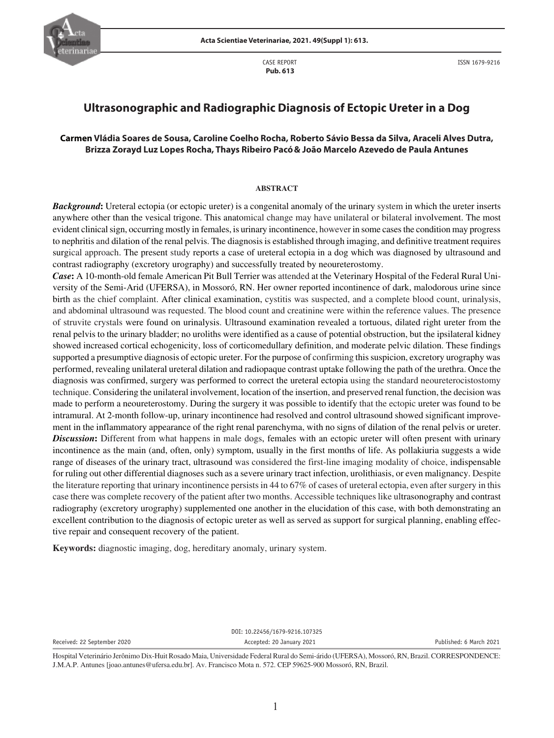

CASE REPORT  **Pub. 613**

ISSN 1679-9216

# **Ultrasonographic and Radiographic Diagnosis of Ectopic Ureter in a Dog**

# **Carmen Vládia Soares de Sousa, Caroline Coelho Rocha, Roberto Sávio Bessa da Silva, Araceli Alves Dutra, Brizza Zorayd Luz Lopes Rocha, Thays Ribeiro Pacó& João Marcelo Azevedo de Paula Antunes**

### **ABSTRACT**

*Background***:** Ureteral ectopia (or ectopic ureter) is a congenital anomaly of the urinary system in which the ureter inserts anywhere other than the vesical trigone. This anatomical change may have unilateral or bilateral involvement. The most evident clinical sign, occurring mostly in females, is urinary incontinence, however in some cases the condition may progress to nephritis and dilation of the renal pelvis. The diagnosis is established through imaging, and definitive treatment requires surgical approach. The present study reports a case of ureteral ectopia in a dog which was diagnosed by ultrasound and contrast radiography (excretory urography) and successfully treated by neoureterostomy.

*Case***:** A 10-month-old female American Pit Bull Terrier was attended at the Veterinary Hospital of the Federal Rural University of the Semi-Arid (UFERSA), in Mossoró, RN. Her owner reported incontinence of dark, malodorous urine since birth as the chief complaint. After clinical examination, cystitis was suspected, and a complete blood count, urinalysis, and abdominal ultrasound was requested. The blood count and creatinine were within the reference values. The presence of struvite crystals were found on urinalysis. Ultrasound examination revealed a tortuous, dilated right ureter from the renal pelvis to the urinary bladder; no uroliths were identified as a cause of potential obstruction, but the ipsilateral kidney showed increased cortical echogenicity, loss of corticomedullary definition, and moderate pelvic dilation. These findings supported a presumptive diagnosis of ectopic ureter. For the purpose of confirming this suspicion, excretory urography was performed, revealing unilateral ureteral dilation and radiopaque contrast uptake following the path of the urethra. Once the diagnosis was confirmed, surgery was performed to correct the ureteral ectopia using the standard neoureterocistostomy technique. Considering the unilateral involvement, location of the insertion, and preserved renal function, the decision was made to perform a neoureterostomy. During the surgery it was possible to identify that the ectopic ureter was found to be intramural. At 2-month follow-up, urinary incontinence had resolved and control ultrasound showed significant improvement in the inflammatory appearance of the right renal parenchyma, with no signs of dilation of the renal pelvis or ureter. **Discussion:** Different from what happens in male dogs, females with an ectopic ureter will often present with urinary incontinence as the main (and, often, only) symptom, usually in the first months of life. As pollakiuria suggests a wide range of diseases of the urinary tract, ultrasound was considered the first-line imaging modality of choice, indispensable for ruling out other differential diagnoses such as a severe urinary tract infection, urolithiasis, or even malignancy. Despite the literature reporting that urinary incontinence persists in 44 to 67% of cases of ureteral ectopia, even after surgery in this case there was complete recovery of the patient after two months. Accessible techniques like ultrasonography and contrast radiography (excretory urography) supplemented one another in the elucidation of this case, with both demonstrating an excellent contribution to the diagnosis of ectopic ureter as well as served as support for surgical planning, enabling effective repair and consequent recovery of the patient.

**Keywords:** diagnostic imaging, dog, hereditary anomaly, urinary system.

DOI: 10.22456/1679-9216.107325 Received: 22 September 2020 2021 Accepted: 20 January 2021 2021 Published: 6 March 2021

Hospital Veterinário Jerônimo Dix-Huit Rosado Maia, Universidade Federal Rural do Semi-árido (UFERSA), Mossoró, RN, Brazil. CORRESPONDENCE: J.M.A.P. Antunes [joao.antunes@ufersa.edu.br]. Av. Francisco Mota n. 572. CEP 59625-900 Mossoró, RN, Brazil.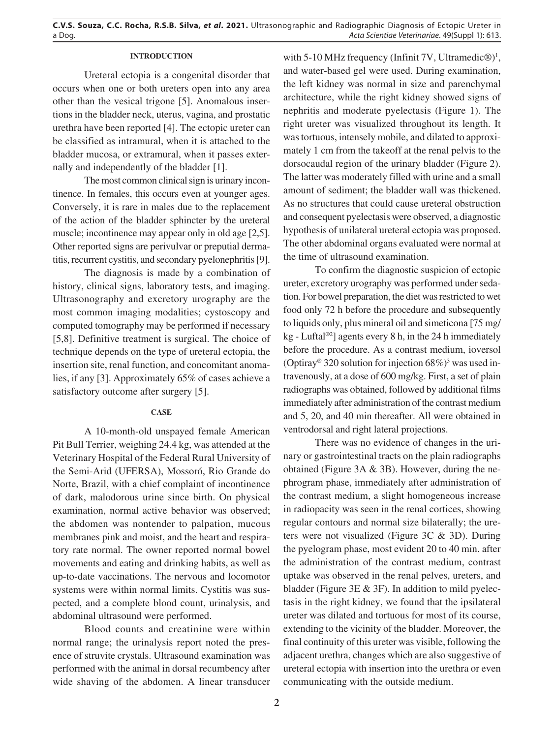## **INTRODUCTION**

Ureteral ectopia is a congenital disorder that occurs when one or both ureters open into any area other than the vesical trigone [5]. Anomalous insertions in the bladder neck, uterus, vagina, and prostatic urethra have been reported [4]. The ectopic ureter can be classified as intramural, when it is attached to the bladder mucosa, or extramural, when it passes externally and independently of the bladder [1].

The most common clinical sign is urinary incontinence. In females, this occurs even at younger ages. Conversely, it is rare in males due to the replacement of the action of the bladder sphincter by the ureteral muscle; incontinence may appear only in old age [2,5]. Other reported signs are perivulvar or preputial dermatitis, recurrent cystitis, and secondary pyelonephritis [9].

The diagnosis is made by a combination of history, clinical signs, laboratory tests, and imaging. Ultrasonography and excretory urography are the most common imaging modalities; cystoscopy and computed tomography may be performed if necessary [5,8]. Definitive treatment is surgical. The choice of technique depends on the type of ureteral ectopia, the insertion site, renal function, and concomitant anomalies, if any [3]. Approximately 65% of cases achieve a satisfactory outcome after surgery [5].

## **CASE**

A 10-month-old unspayed female American Pit Bull Terrier, weighing 24.4 kg, was attended at the Veterinary Hospital of the Federal Rural University of the Semi-Arid (UFERSA), Mossoró, Rio Grande do Norte, Brazil, with a chief complaint of incontinence of dark, malodorous urine since birth. On physical examination, normal active behavior was observed; the abdomen was nontender to palpation, mucous membranes pink and moist, and the heart and respiratory rate normal. The owner reported normal bowel movements and eating and drinking habits, as well as up-to-date vaccinations. The nervous and locomotor systems were within normal limits. Cystitis was suspected, and a complete blood count, urinalysis, and abdominal ultrasound were performed.

Blood counts and creatinine were within normal range; the urinalysis report noted the presence of struvite crystals. Ultrasound examination was performed with the animal in dorsal recumbency after wide shaving of the abdomen. A linear transducer

with 5-10 MHz frequency (Infinit 7V, Ultramedic $\circledR$ )<sup>1</sup>, and water-based gel were used. During examination, the left kidney was normal in size and parenchymal architecture, while the right kidney showed signs of nephritis and moderate pyelectasis (Figure 1). The right ureter was visualized throughout its length. It was tortuous, intensely mobile, and dilated to approximately 1 cm from the takeoff at the renal pelvis to the dorsocaudal region of the urinary bladder (Figure 2). The latter was moderately filled with urine and a small amount of sediment; the bladder wall was thickened. As no structures that could cause ureteral obstruction and consequent pyelectasis were observed, a diagnostic hypothesis of unilateral ureteral ectopia was proposed. The other abdominal organs evaluated were normal at the time of ultrasound examination.

To confirm the diagnostic suspicion of ectopic ureter, excretory urography was performed under sedation. For bowel preparation, the diet was restricted to wet food only 72 h before the procedure and subsequently to liquids only, plus mineral oil and simeticona [75 mg/ kg - Luftal<sup>®2</sup>] agents every 8 h, in the 24 h immediately before the procedure. As a contrast medium, ioversol (Optiray® 320 solution for injection  $68\%)$ <sup>3</sup> was used intravenously, at a dose of 600 mg/kg. First, a set of plain radiographs was obtained, followed by additional films immediately after administration of the contrast medium and 5, 20, and 40 min thereafter. All were obtained in ventrodorsal and right lateral projections.

There was no evidence of changes in the urinary or gastrointestinal tracts on the plain radiographs obtained (Figure 3A & 3B). However, during the nephrogram phase, immediately after administration of the contrast medium, a slight homogeneous increase in radiopacity was seen in the renal cortices, showing regular contours and normal size bilaterally; the ureters were not visualized (Figure 3C & 3D). During the pyelogram phase, most evident 20 to 40 min. after the administration of the contrast medium, contrast uptake was observed in the renal pelves, ureters, and bladder (Figure 3E & 3F). In addition to mild pyelectasis in the right kidney, we found that the ipsilateral ureter was dilated and tortuous for most of its course, extending to the vicinity of the bladder. Moreover, the final continuity of this ureter was visible, following the adjacent urethra, changes which are also suggestive of ureteral ectopia with insertion into the urethra or even communicating with the outside medium.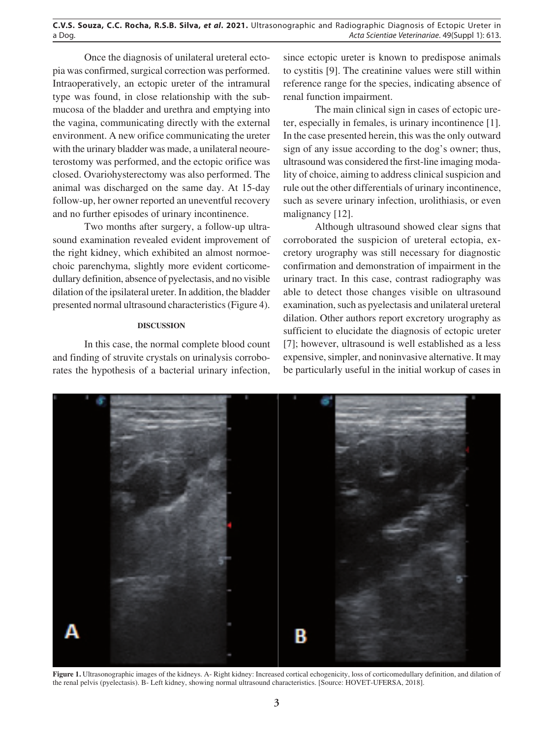Once the diagnosis of unilateral ureteral ectopia was confirmed, surgical correction was performed. Intraoperatively, an ectopic ureter of the intramural type was found, in close relationship with the submucosa of the bladder and urethra and emptying into the vagina, communicating directly with the external environment. A new orifice communicating the ureter with the urinary bladder was made, a unilateral neoureterostomy was performed, and the ectopic orifice was closed. Ovariohysterectomy was also performed. The animal was discharged on the same day. At 15-day follow-up, her owner reported an uneventful recovery and no further episodes of urinary incontinence.

Two months after surgery, a follow-up ultrasound examination revealed evident improvement of the right kidney, which exhibited an almost normoechoic parenchyma, slightly more evident corticomedullary definition, absence of pyelectasis, and no visible dilation of the ipsilateral ureter. In addition, the bladder presented normal ultrasound characteristics (Figure 4).

# **DISCUSSION**

In this case, the normal complete blood count and finding of struvite crystals on urinalysis corroborates the hypothesis of a bacterial urinary infection, since ectopic ureter is known to predispose animals to cystitis [9]. The creatinine values were still within reference range for the species, indicating absence of renal function impairment.

The main clinical sign in cases of ectopic ureter, especially in females, is urinary incontinence [1]. In the case presented herein, this was the only outward sign of any issue according to the dog's owner; thus, ultrasound was considered the first-line imaging modality of choice, aiming to address clinical suspicion and rule out the other differentials of urinary incontinence, such as severe urinary infection, urolithiasis, or even malignancy [12].

Although ultrasound showed clear signs that corroborated the suspicion of ureteral ectopia, excretory urography was still necessary for diagnostic confirmation and demonstration of impairment in the urinary tract. In this case, contrast radiography was able to detect those changes visible on ultrasound examination, such as pyelectasis and unilateral ureteral dilation. Other authors report excretory urography as sufficient to elucidate the diagnosis of ectopic ureter [7]; however, ultrasound is well established as a less expensive, simpler, and noninvasive alternative. It may be particularly useful in the initial workup of cases in



Figure 1. Ultrasonographic images of the kidneys. A- Right kidney: Increased cortical echogenicity, loss of corticomedullary definition, and dilation of the renal pelvis (pyelectasis). B- Left kidney, showing normal ultrasound characteristics. [Source: HOVET-UFERSA, 2018].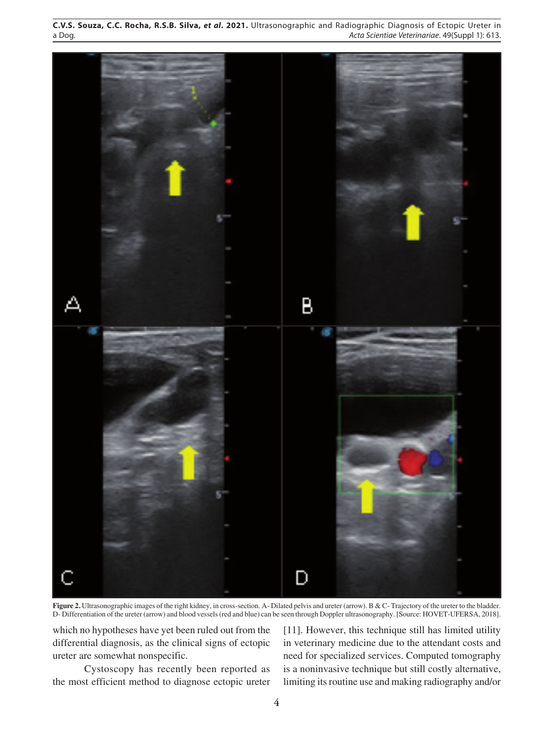

**Figure 2.** Ultrasonographic images of the right kidney, in cross-section. A- Dilated pelvis and ureter (arrow). B & C- Trajectory of the ureter to the bladder. D- Differentiation of the ureter (arrow) and blood vessels (red and blue) can be seen through Doppler ultrasonography. [Source: HOVET-UFERSA, 2018].

which no hypotheses have yet been ruled out from the differential diagnosis, as the clinical signs of ectopic ureter are somewhat nonspecific.

Cystoscopy has recently been reported as the most efficient method to diagnose ectopic ureter

[11]. However, this technique still has limited utility in veterinary medicine due to the attendant costs and need for specialized services. Computed tomography is a noninvasive technique but still costly alternative, limiting its routine use and making radiography and/or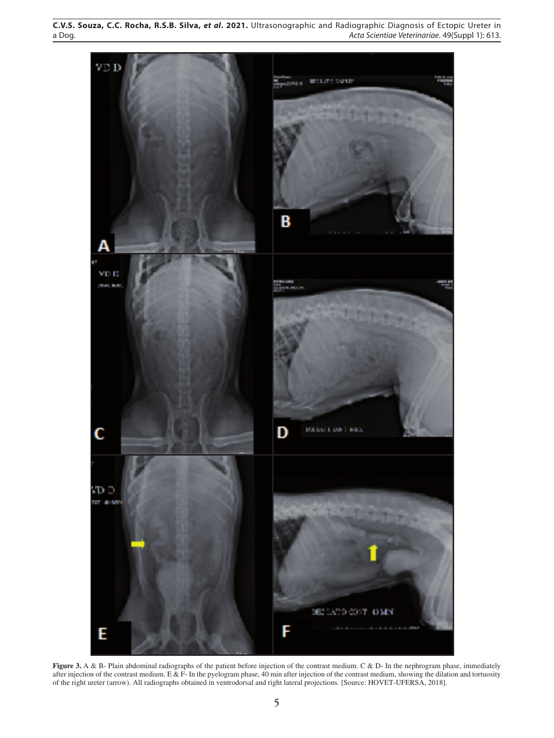

**Figure 3.** A & B- Plain abdominal radiographs of the patient before injection of the contrast medium. C & D- In the nephrogram phase, immediately after injection of the contrast medium. E & F- In the pyelogram phase, 40 min after injection of the contrast medium, showing the dilation and tortuosity of the right ureter (arrow). All radiographs obtained in ventrodorsal and right lateral projections. [Source: HOVET-UFERSA, 2018].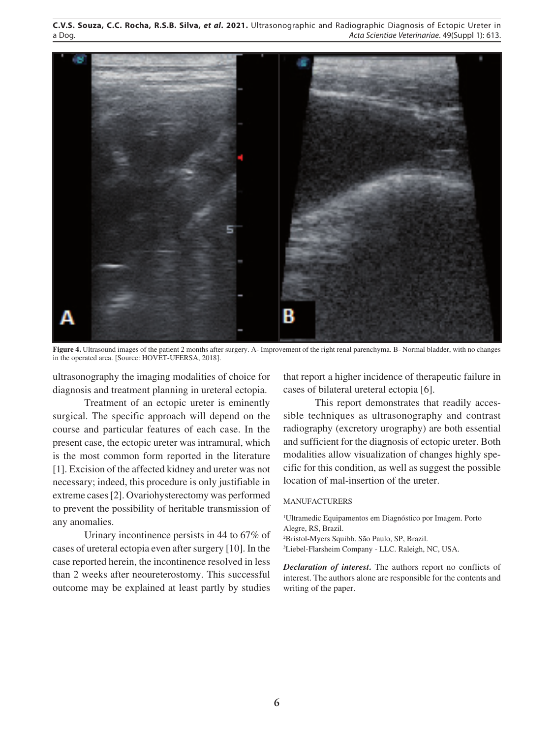

**Figure 4.** Ultrasound images of the patient 2 months after surgery. A- Improvement of the right renal parenchyma. B- Normal bladder, with no changes in the operated area. [Source: HOVET-UFERSA, 2018].

ultrasonography the imaging modalities of choice for diagnosis and treatment planning in ureteral ectopia.

Treatment of an ectopic ureter is eminently surgical. The specific approach will depend on the course and particular features of each case. In the present case, the ectopic ureter was intramural, which is the most common form reported in the literature [1]. Excision of the affected kidney and ureter was not necessary; indeed, this procedure is only justifiable in extreme cases [2]. Ovariohysterectomy was performed to prevent the possibility of heritable transmission of any anomalies.

Urinary incontinence persists in 44 to 67% of cases of ureteral ectopia even after surgery [10]. In the case reported herein, the incontinence resolved in less than 2 weeks after neoureterostomy. This successful outcome may be explained at least partly by studies

that report a higher incidence of therapeutic failure in cases of bilateral ureteral ectopia [6].

This report demonstrates that readily accessible techniques as ultrasonography and contrast radiography (excretory urography) are both essential and sufficient for the diagnosis of ectopic ureter. Both modalities allow visualization of changes highly specific for this condition, as well as suggest the possible location of mal-insertion of the ureter.

#### MANUFACTURERS

1 Ultramedic Equipamentos em Diagnóstico por Imagem. Porto Alegre, RS, Brazil.

2 Bristol-Myers Squibb. São Paulo, SP, Brazil.

3 Liebel-Flarsheim Company - LLC. Raleigh, NC, USA.

*Declaration of interest.* The authors report no conflicts of interest. The authors alone are responsible for the contents and writing of the paper.